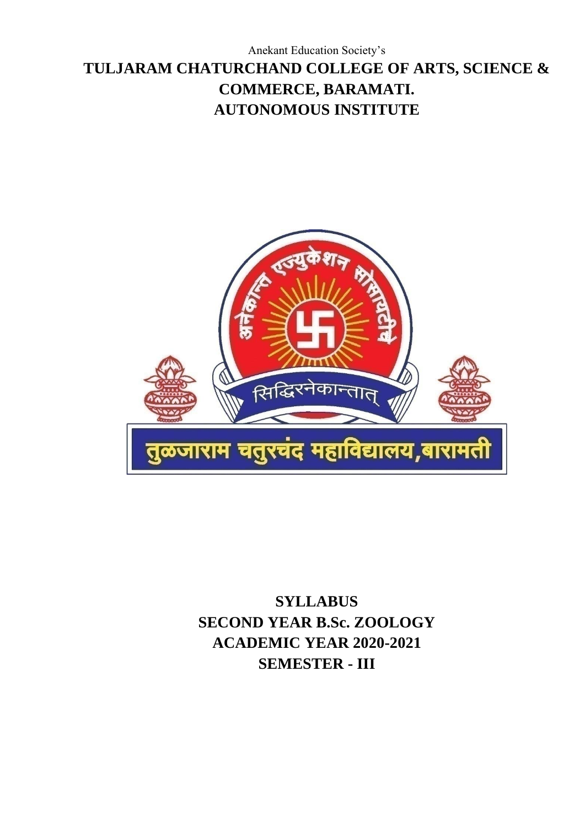# Anekant Education Society's **TULJARAM CHATURCHAND COLLEGE OF ARTS, SCIENCE & COMMERCE, BARAMATI. AUTONOMOUS INSTITUTE**



**SYLLABUS SECOND YEAR B.Sc. ZOOLOGY ACADEMIC YEAR 2020-2021 SEMESTER - III**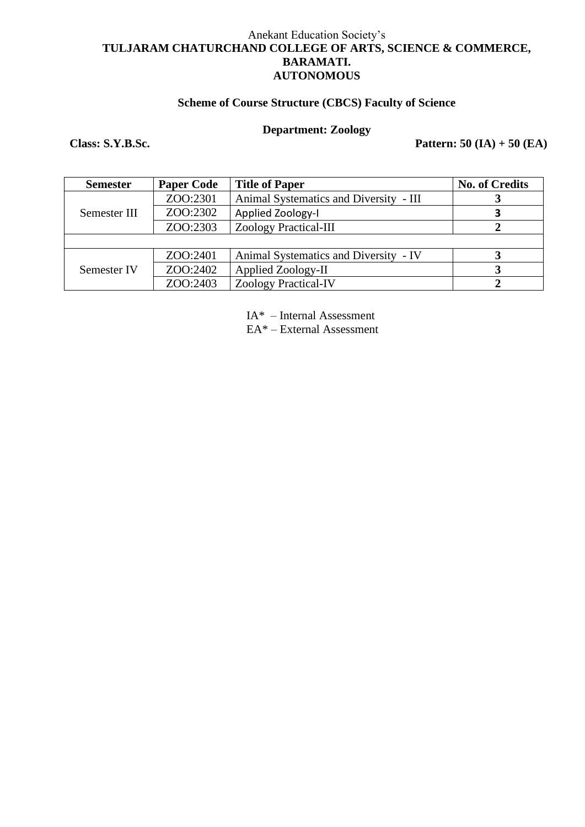#### Anekant Education Society's **TULJARAM CHATURCHAND COLLEGE OF ARTS, SCIENCE & COMMERCE, BARAMATI. AUTONOMOUS**

#### **Scheme of Course Structure (CBCS) Faculty of Science**

## **Department: Zoology**

**Class: S.Y.B.Sc. Pattern: 50 (IA) + 50 (EA)**

| <b>Semester</b> | <b>Paper Code</b> | <b>Title of Paper</b>                  | <b>No. of Credits</b> |
|-----------------|-------------------|----------------------------------------|-----------------------|
|                 | ZOO:2301          | Animal Systematics and Diversity - III |                       |
| Semester III    | ZOO:2302          | Applied Zoology-I                      |                       |
|                 | ZOO:2303          | <b>Zoology Practical-III</b>           |                       |
|                 |                   |                                        |                       |
|                 | ZOO:2401          | Animal Systematics and Diversity - IV  |                       |
| Semester IV     | ZOO:2402          | Applied Zoology-II                     |                       |
|                 | ZOO:2403          | <b>Zoology Practical-IV</b>            |                       |

IA\* – Internal Assessment

EA\* – External Assessment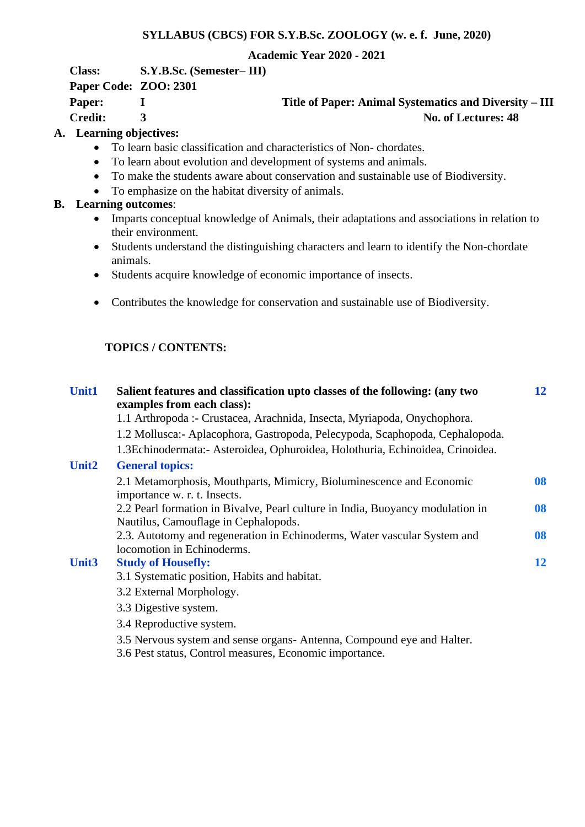#### **SYLLABUS (CBCS) FOR S.Y.B.Sc. ZOOLOGY (w. e. f. June, 2020)**

#### **Academic Year 2020 - 2021**

**Class: S.Y.B.Sc. (Semester– III)**

**Paper Code: ZOO: 2301**

**Paper:** I Title of Paper: Animal Systematics and Diversity – III **Credit:** 3 No. of Lectures: 48

## **A. Learning objectives:**

- To learn basic classification and characteristics of Non- chordates.
- To learn about evolution and development of systems and animals.
- To make the students aware about conservation and sustainable use of Biodiversity.
- To emphasize on the habitat diversity of animals.

## **B. Learning outcomes**:

- Imparts conceptual knowledge of Animals, their adaptations and associations in relation to their environment.
- Students understand the distinguishing characters and learn to identify the Non-chordate animals.
- Students acquire knowledge of economic importance of insects.
- Contributes the knowledge for conservation and sustainable use of Biodiversity.

## **TOPICS / CONTENTS:**

| <b>Unit1</b> | Salient features and classification upto classes of the following: (any two<br>examples from each class):              | 12 |
|--------------|------------------------------------------------------------------------------------------------------------------------|----|
|              | 1.1 Arthropoda :- Crustacea, Arachnida, Insecta, Myriapoda, Onychophora.                                               |    |
|              | 1.2 Mollusca: - Aplacophora, Gastropoda, Pelecypoda, Scaphopoda, Cephalopoda.                                          |    |
|              | 1.3Echinodermata: - Asteroidea, Ophuroidea, Holothuria, Echinoidea, Crinoidea.                                         |    |
| <b>Unit2</b> | <b>General topics:</b>                                                                                                 |    |
|              | 2.1 Metamorphosis, Mouthparts, Mimicry, Bioluminescence and Economic<br>importance w. r. t. Insects.                   | 08 |
|              | 2.2 Pearl formation in Bivalve, Pearl culture in India, Buoyancy modulation in<br>Nautilus, Camouflage in Cephalopods. | 08 |
|              | 2.3. Autotomy and regeneration in Echinoderms, Water vascular System and<br>locomotion in Echinoderms.                 | 08 |
| Unit3        | <b>Study of Housefly:</b>                                                                                              | 12 |
|              | 3.1 Systematic position, Habits and habitat.                                                                           |    |
|              | 3.2 External Morphology.                                                                                               |    |
|              | 3.3 Digestive system.                                                                                                  |    |
|              | 3.4 Reproductive system.                                                                                               |    |
|              | 3.5 Nervous system and sense organs-Antenna, Compound eye and Halter.                                                  |    |

3.6 Pest status, Control measures, Economic importance.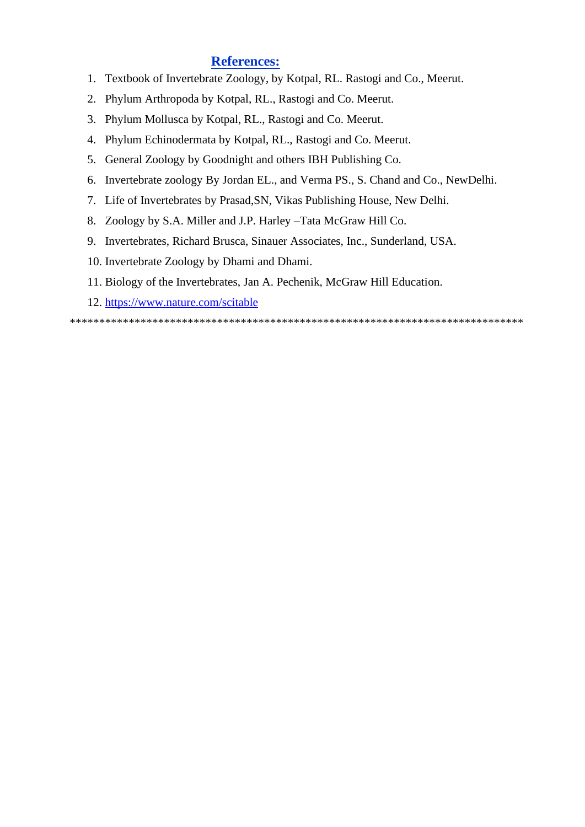## **References:**

- 1. Textbook of Invertebrate Zoology, by Kotpal, RL. Rastogi and Co., Meerut.
- 2. Phylum Arthropoda by Kotpal, RL., Rastogi and Co. Meerut.
- 3. Phylum Mollusca by Kotpal, RL., Rastogi and Co. Meerut.
- 4. Phylum Echinodermata by Kotpal, RL., Rastogi and Co. Meerut.
- 5. General Zoology by Goodnight and others IBH Publishing Co.
- 6. Invertebrate zoology By Jordan EL., and Verma PS., S. Chand and Co., NewDelhi.
- 7. Life of Invertebrates by Prasad,SN, Vikas Publishing House, New Delhi.
- 8. Zoology by S.A. Miller and J.P. Harley –Tata McGraw Hill Co.
- 9. Invertebrates, Richard Brusca, Sinauer Associates, Inc., Sunderland, USA.
- 10. Invertebrate Zoology by Dhami and Dhami.
- 11. Biology of the Invertebrates, Jan A. Pechenik, McGraw Hill Education.
- 12. <https://www.nature.com/scitable>

\*\*\*\*\*\*\*\*\*\*\*\*\*\*\*\*\*\*\*\*\*\*\*\*\*\*\*\*\*\*\*\*\*\*\*\*\*\*\*\*\*\*\*\*\*\*\*\*\*\*\*\*\*\*\*\*\*\*\*\*\*\*\*\*\*\*\*\*\*\*\*\*\*\*\*\*\*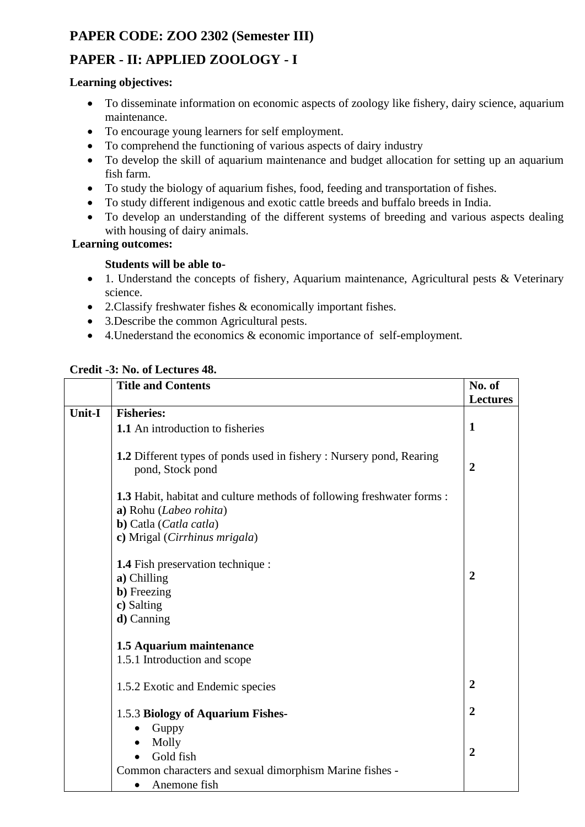## **PAPER CODE: ZOO 2302 (Semester III)**

## **PAPER - II: APPLIED ZOOLOGY - I**

#### **Learning objectives:**

- To disseminate information on economic aspects of zoology like fishery, dairy science, aquarium maintenance.
- To encourage young learners for self employment.
- To comprehend the functioning of various aspects of dairy industry
- To develop the skill of aquarium maintenance and budget allocation for setting up an aquarium fish farm.
- To study the biology of aquarium fishes, food, feeding and transportation of fishes.
- To study different indigenous and exotic cattle breeds and buffalo breeds in India.
- To develop an understanding of the different systems of breeding and various aspects dealing with housing of dairy animals.

## **Learning outcomes:**

## **Students will be able to-**

- 1. Understand the concepts of fishery, Aquarium maintenance, Agricultural pests & Veterinary science.
- 2.Classify freshwater fishes & economically important fishes.
- 3. Describe the common Agricultural pests.
- 4.Unederstand the economics & economic importance of self-employment.

## **Credit -3: No. of Lectures 48.**

|               | <b>Title and Contents</b>                                                                              | No. of          |
|---------------|--------------------------------------------------------------------------------------------------------|-----------------|
|               |                                                                                                        | <b>Lectures</b> |
| <b>Unit-I</b> | <b>Fisheries:</b>                                                                                      |                 |
|               | 1.1 An introduction to fisheries                                                                       | $\mathbf{1}$    |
|               |                                                                                                        |                 |
|               | <b>1.2</b> Different types of ponds used in fishery : Nursery pond, Rearing<br>pond, Stock pond        | $\overline{2}$  |
|               | <b>1.3</b> Habit, habitat and culture methods of following freshwater forms:<br>a) Rohu (Labeo rohita) |                 |
|               | <b>b</b> ) Catla ( <i>Catla catla</i> )                                                                |                 |
|               | c) Mrigal (Cirrhinus mrigala)                                                                          |                 |
|               |                                                                                                        |                 |
|               | <b>1.4</b> Fish preservation technique :                                                               |                 |
|               | a) Chilling                                                                                            | $\overline{2}$  |
|               | <b>b</b> ) Freezing                                                                                    |                 |
|               | c) Salting                                                                                             |                 |
|               | $d)$ Canning                                                                                           |                 |
|               |                                                                                                        |                 |
|               | 1.5 Aquarium maintenance                                                                               |                 |
|               | 1.5.1 Introduction and scope                                                                           |                 |
|               |                                                                                                        |                 |
|               | 1.5.2 Exotic and Endemic species                                                                       | $\overline{2}$  |
|               |                                                                                                        |                 |
|               | 1.5.3 Biology of Aquarium Fishes-                                                                      | $\overline{2}$  |
|               | Guppy                                                                                                  |                 |
|               | Molly<br>$\bullet$                                                                                     |                 |
|               | Gold fish                                                                                              | $\overline{2}$  |
|               | Common characters and sexual dimorphism Marine fishes -                                                |                 |
|               | Anemone fish                                                                                           |                 |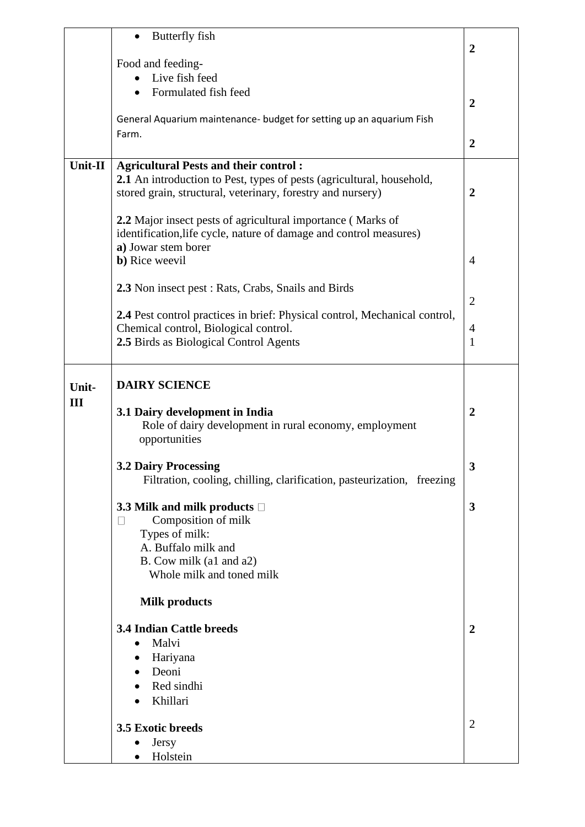|         | Butterfly fish                                                             |                  |
|---------|----------------------------------------------------------------------------|------------------|
|         |                                                                            | $\boldsymbol{2}$ |
|         | Food and feeding-                                                          |                  |
|         | Live fish feed                                                             |                  |
|         | Formulated fish feed                                                       | $\overline{2}$   |
|         | General Aquarium maintenance- budget for setting up an aquarium Fish       |                  |
|         | Farm.                                                                      | $\boldsymbol{2}$ |
|         |                                                                            |                  |
| Unit-II | <b>Agricultural Pests and their control:</b>                               |                  |
|         | 2.1 An introduction to Pest, types of pests (agricultural, household,      |                  |
|         | stored grain, structural, veterinary, forestry and nursery)                | $\boldsymbol{2}$ |
|         | 2.2 Major insect pests of agricultural importance (Marks of                |                  |
|         | identification, life cycle, nature of damage and control measures)         |                  |
|         | a) Jowar stem borer                                                        |                  |
|         | <b>b</b> ) Rice weevil                                                     | $\overline{4}$   |
|         |                                                                            |                  |
|         | 2.3 Non insect pest : Rats, Crabs, Snails and Birds                        |                  |
|         |                                                                            | $\overline{2}$   |
|         | 2.4 Pest control practices in brief: Physical control, Mechanical control, |                  |
|         | Chemical control, Biological control.                                      | $\overline{4}$   |
|         | 2.5 Birds as Biological Control Agents                                     | 1                |
|         |                                                                            |                  |
| Unit-   | <b>DAIRY SCIENCE</b>                                                       |                  |
| III     |                                                                            |                  |
|         | 3.1 Dairy development in India                                             | $\overline{2}$   |
|         | Role of dairy development in rural economy, employment                     |                  |
|         | opportunities                                                              |                  |
|         | <b>3.2 Dairy Processing</b>                                                | ว                |
|         | Filtration, cooling, chilling, clarification, pasteurization, freezing     |                  |
|         |                                                                            |                  |
|         | 3.3 Milk and milk products $\square$                                       | 3                |
|         | Composition of milk<br>$\mathbf{L}$                                        |                  |
|         | Types of milk:<br>A. Buffalo milk and                                      |                  |
|         | B. Cow milk (a1 and a2)                                                    |                  |
|         | Whole milk and toned milk                                                  |                  |
|         |                                                                            |                  |
|         | <b>Milk products</b>                                                       |                  |
|         | <b>3.4 Indian Cattle breeds</b>                                            | $\overline{2}$   |
|         | Malvi<br>$\bullet$                                                         |                  |
|         | Hariyana<br>٠                                                              |                  |
|         | Deoni<br>$\bullet$                                                         |                  |
|         | Red sindhi                                                                 |                  |
|         | Khillari                                                                   |                  |
|         |                                                                            |                  |
|         | 3.5 Exotic breeds                                                          | $\overline{2}$   |
|         | <b>Jersy</b>                                                               |                  |
|         | Holstein                                                                   |                  |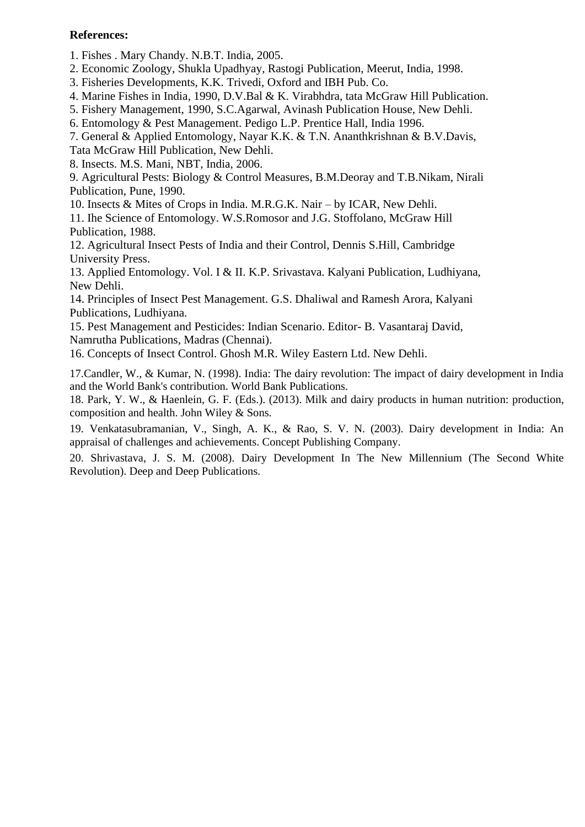#### **References:**

1. Fishes . Mary Chandy. N.B.T. India, 2005.

2. Economic Zoology, Shukla Upadhyay, Rastogi Publication, Meerut, India, 1998.

3. Fisheries Developments, K.K. Trivedi, Oxford and IBH Pub. Co.

4. Marine Fishes in India, 1990, D.V.Bal & K. Virabhdra, tata McGraw Hill Publication.

5. Fishery Management, 1990, S.C.Agarwal, Avinash Publication House, New Dehli.

6. Entomology & Pest Management. Pedigo L.P. Prentice Hall, India 1996.

7. General & Applied Entomology, Nayar K.K. & T.N. Ananthkrishnan & B.V.Davis,

Tata McGraw Hill Publication, New Dehli.

8. Insects. M.S. Mani, NBT, India, 2006.

9. Agricultural Pests: Biology & Control Measures, B.M.Deoray and T.B.Nikam, Nirali Publication, Pune, 1990.

10. Insects & Mites of Crops in India. M.R.G.K. Nair – by ICAR, New Dehli.

11. Ihe Science of Entomology. W.S.Romosor and J.G. Stoffolano, McGraw Hill Publication, 1988.

12. Agricultural Insect Pests of India and their Control, Dennis S.Hill, Cambridge University Press.

13. Applied Entomology. Vol. I & II. K.P. Srivastava. Kalyani Publication, Ludhiyana, New Dehli.

14. Principles of Insect Pest Management. G.S. Dhaliwal and Ramesh Arora, Kalyani Publications, Ludhiyana.

15. Pest Management and Pesticides: Indian Scenario. Editor- B. Vasantaraj David, Namrutha Publications, Madras (Chennai).

16. Concepts of Insect Control. Ghosh M.R. Wiley Eastern Ltd. New Dehli.

17.Candler, W., & Kumar, N. (1998). India: The dairy revolution: The impact of dairy development in India and the World Bank's contribution. World Bank Publications.

18. Park, Y. W., & Haenlein, G. F. (Eds.). (2013). Milk and dairy products in human nutrition: production, composition and health. John Wiley & Sons.

19. Venkatasubramanian, V., Singh, A. K., & Rao, S. V. N. (2003). Dairy development in India: An appraisal of challenges and achievements. Concept Publishing Company.

20. Shrivastava, J. S. M. (2008). Dairy Development In The New Millennium (The Second White Revolution). Deep and Deep Publications.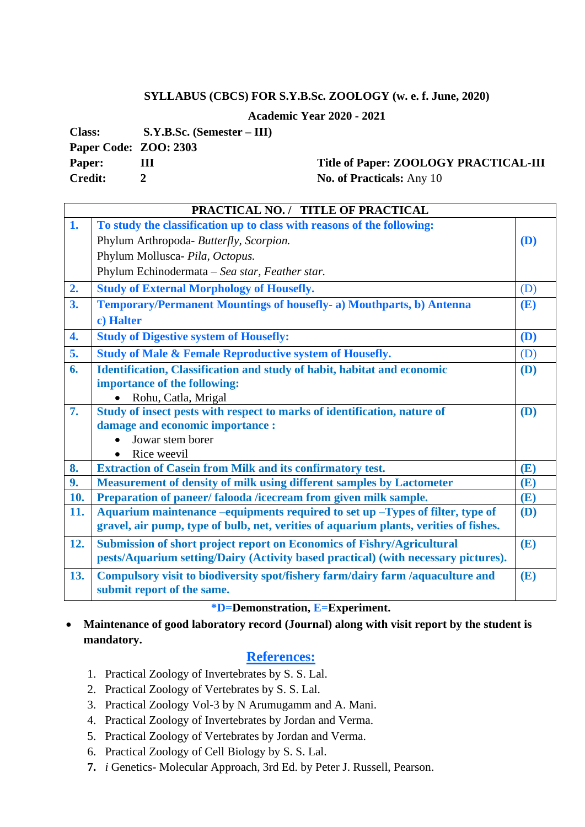#### **SYLLABUS (CBCS) FOR S.Y.B.Sc. ZOOLOGY (w. e. f. June, 2020)**

**Academic Year 2020 - 2021**

**Class: S.Y.B.Sc. (Semester – III)**

**Paper Code: ZOO: 2303**

#### **Paper:** III Title of Paper: **ZOOLOGY PRACTICAL-III Credit:** 2 **No. of Practicals:** Any 10

**PRACTICAL NO. / TITLE OF PRACTICAL 1. To study the classification up to class with reasons of the following:** Phylum Arthropoda- *Butterfly, Scorpion.* Phylum Mollusca- *Pila, Octopus.* Phylum Echinodermata – *Sea star, Feather star.* **(D) 2. Study of External Morphology of Housefly.** (D) **3. Temporary/Permanent Mountings of housefly- a) Mouthparts, b) Antenna c) Halter (E) 4. Study of Digestive system of Housefly: (D) 5. Study of Male & Female Reproductive system of Housefly.** (D) **6. Identification, Classification and study of habit, habitat and economic importance of the following:** • Rohu, Catla, Mrigal **(D) 7. Study of insect pests with respect to marks of identification, nature of damage and economic importance :** • Jowar stem borer • Rice weevil **(D) 8. Extraction of Casein from Milk and its confirmatory test. (E) 9. Measurement of density of milk using different samples by Lactometer (E) 10. Preparation of paneer/ falooda /icecream from given milk sample. (E) 11. Aquarium maintenance –equipments required to set up –Types of filter, type of gravel, air pump, type of bulb, net, verities of aquarium plants, verities of fishes. (D) 12. Submission of short project report on Economics of Fishry/Agricultural pests/Aquarium setting/Dairy (Activity based practical) (with necessary pictures). (E) 13. Compulsory visit to biodiversity spot/fishery farm/dairy farm /aquaculture and submit report of the same. (E)**

#### **\*D=Demonstration, E=Experiment.**

• **Maintenance of good laboratory record (Journal) along with visit report by the student is mandatory.** 

## **References:**

- 1. Practical Zoology of Invertebrates by S. S. Lal.
- 2. Practical Zoology of Vertebrates by S. S. Lal.
- 3. Practical Zoology Vol-3 by N Arumugamm and A. Mani.
- 4. Practical Zoology of Invertebrates by Jordan and Verma.
- 5. Practical Zoology of Vertebrates by Jordan and Verma.
- 6. Practical Zoology of Cell Biology by S. S. Lal.
- **7.** *i* Genetics- Molecular Approach, 3rd Ed. by Peter J. Russell, Pearson.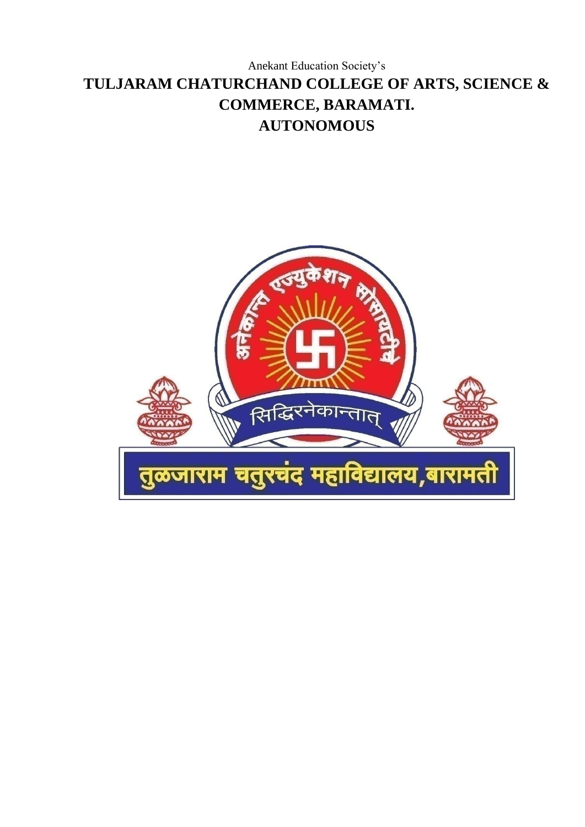# Anekant Education Society's **TULJARAM CHATURCHAND COLLEGE OF ARTS, SCIENCE & COMMERCE, BARAMATI. AUTONOMOUS**

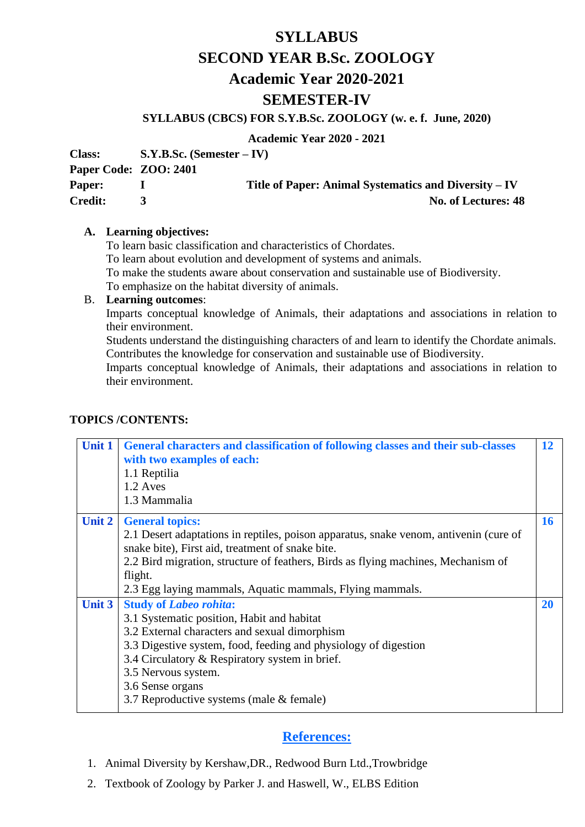# **SYLLABUS SECOND YEAR B.Sc. ZOOLOGY Academic Year 2020-2021 SEMESTER-IV**

#### **SYLLABUS (CBCS) FOR S.Y.B.Sc. ZOOLOGY (w. e. f. June, 2020)**

**Academic Year 2020 - 2021**

**Class: S.Y.B.Sc. (Semester – IV)**

**Paper Code: ZOO: 2401**

**Paper:** I Title of Paper: Animal Systematics and Diversity – IV **Credit:** 3 No. of Lectures: 48

#### **A. Learning objectives:**

To learn basic classification and characteristics of Chordates.

To learn about evolution and development of systems and animals.

To make the students aware about conservation and sustainable use of Biodiversity.

To emphasize on the habitat diversity of animals.

#### B. **Learning outcomes**:

Imparts conceptual knowledge of Animals, their adaptations and associations in relation to their environment.

Students understand the distinguishing characters of and learn to identify the Chordate animals. Contributes the knowledge for conservation and sustainable use of Biodiversity.

Imparts conceptual knowledge of Animals, their adaptations and associations in relation to their environment.

#### **TOPICS /CONTENTS:**

| <b>Unit 1</b> | General characters and classification of following classes and their sub-classes<br>with two examples of each:<br>1.1 Reptilia<br>1.2 Aves<br>1.3 Mammalia                                                                                                                                                                                                                                           | 12        |
|---------------|------------------------------------------------------------------------------------------------------------------------------------------------------------------------------------------------------------------------------------------------------------------------------------------------------------------------------------------------------------------------------------------------------|-----------|
| Unit 2        | <b>General topics:</b><br>2.1 Desert adaptations in reptiles, poison apparatus, snake venom, antivenin (cure of<br>snake bite), First aid, treatment of snake bite.<br>2.2 Bird migration, structure of feathers, Birds as flying machines, Mechanism of<br>flight.                                                                                                                                  | <b>16</b> |
| <b>Unit 3</b> | 2.3 Egg laying mammals, Aquatic mammals, Flying mammals.<br><b>Study of Labeo rohita:</b><br>3.1 Systematic position, Habit and habitat<br>3.2 External characters and sexual dimorphism<br>3.3 Digestive system, food, feeding and physiology of digestion<br>3.4 Circulatory & Respiratory system in brief.<br>3.5 Nervous system.<br>3.6 Sense organs<br>3.7 Reproductive systems (male & female) | <b>20</b> |

## **References:**

- 1. Animal Diversity by Kershaw,DR., Redwood Burn Ltd.,Trowbridge
- 2. Textbook of Zoology by Parker J. and Haswell, W., ELBS Edition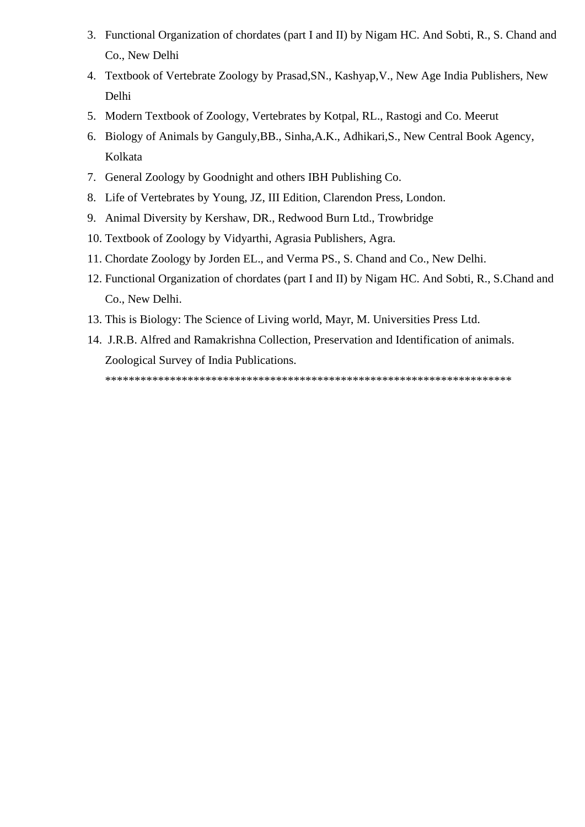- 3. Functional Organization of chordates (part I and II) by Nigam HC. And Sobti, R., S. Chand and Co., New Delhi
- 4. Textbook of Vertebrate Zoology by Prasad,SN., Kashyap,V., New Age India Publishers, New Delhi
- 5. Modern Textbook of Zoology, Vertebrates by Kotpal, RL., Rastogi and Co. Meerut
- 6. Biology of Animals by Ganguly,BB., Sinha,A.K., Adhikari,S., New Central Book Agency, Kolkata
- 7. General Zoology by Goodnight and others IBH Publishing Co.
- 8. Life of Vertebrates by Young, JZ, III Edition, Clarendon Press, London.
- 9. Animal Diversity by Kershaw, DR., Redwood Burn Ltd., Trowbridge
- 10. Textbook of Zoology by Vidyarthi, Agrasia Publishers, Agra.
- 11. Chordate Zoology by Jorden EL., and Verma PS., S. Chand and Co., New Delhi.
- 12. Functional Organization of chordates (part I and II) by Nigam HC. And Sobti, R., S.Chand and Co., New Delhi.
- 13. This is Biology: The Science of Living world, Mayr, M. Universities Press Ltd.
- 14. J.R.B. Alfred and Ramakrishna Collection, Preservation and Identification of animals. Zoological Survey of India Publications. \*\*\*\*\*\*\*\*\*\*\*\*\*\*\*\*\*\*\*\*\*\*\*\*\*\*\*\*\*\*\*\*\*\*\*\*\*\*\*\*\*\*\*\*\*\*\*\*\*\*\*\*\*\*\*\*\*\*\*\*\*\*\*\*\*\*\*\*\*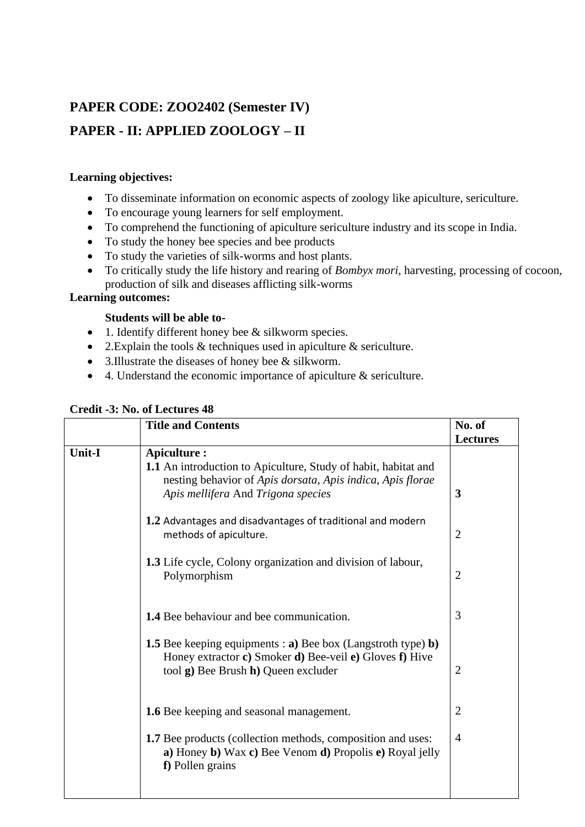# **PAPER CODE: ZOO2402 (Semester IV)**

## **PAPER - II: APPLIED ZOOLOGY – II**

## **Learning objectives:**

- To disseminate information on economic aspects of zoology like apiculture, sericulture.
- To encourage young learners for self employment.
- To comprehend the functioning of apiculture sericulture industry and its scope in India.
- To study the honey bee species and bee products
- To study the varieties of silk-worms and host plants.
- To critically study the life history and rearing of *Bombyx mori*, harvesting, processing of cocoon, production of silk and diseases afflicting silk-worms

## **Learning outcomes:**

## **Students will be able to-**

- 1. Identify different honey bee & silkworm species.
- 2. Explain the tools  $\&$  techniques used in apiculture  $\&$  sericulture.
- 3.Illustrate the diseases of honey bee & silkworm.
- 4. Understand the economic importance of apiculture  $\&$  sericulture.

|        | <b>Title and Contents</b>                                                                                                                                                                 | No. of          |
|--------|-------------------------------------------------------------------------------------------------------------------------------------------------------------------------------------------|-----------------|
|        |                                                                                                                                                                                           | <b>Lectures</b> |
| Unit-I | Apiculture :<br><b>1.1</b> An introduction to Apiculture, Study of habit, habitat and<br>nesting behavior of Apis dorsata, Apis indica, Apis florae<br>Apis mellifera And Trigona species | 3               |
|        | 1.2 Advantages and disadvantages of traditional and modern<br>methods of apiculture.                                                                                                      | $\overline{2}$  |
|        | <b>1.3</b> Life cycle, Colony organization and division of labour,<br>Polymorphism                                                                                                        | $\overline{2}$  |
|        | <b>1.4</b> Bee behaviour and bee communication.                                                                                                                                           | 3               |
|        | <b>1.5</b> Bee keeping equipments : <b>a</b> ) Bee box (Langstroth type) <b>b</b> )<br>Honey extractor c) Smoker d) Bee-veil e) Gloves f) Hive<br>tool g) Bee Brush h) Queen excluder     | 2               |
|        | <b>1.6</b> Bee keeping and seasonal management.                                                                                                                                           | $\overline{2}$  |
|        | <b>1.7</b> Bee products (collection methods, composition and uses:<br>a) Honey b) Wax c) Bee Venom d) Propolis e) Royal jelly<br>f) Pollen grains                                         | $\overline{4}$  |

## **Credit -3: No. of Lectures 48**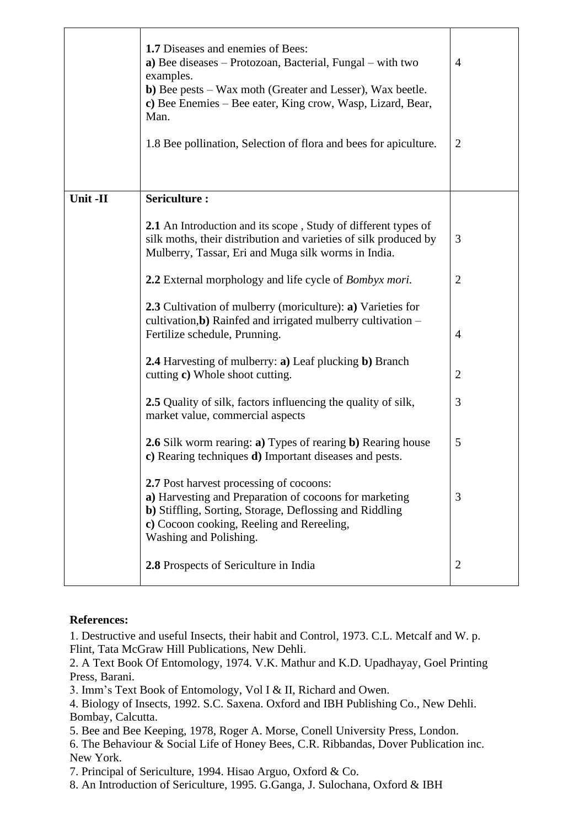|          | 1.7 Diseases and enemies of Bees:<br>a) Bee diseases $-$ Protozoan, Bacterial, Fungal $-$ with two<br>examples.<br><b>b</b> ) Bee pests – Wax moth (Greater and Lesser), Wax beetle.<br>c) Bee Enemies – Bee eater, King crow, Wasp, Lizard, Bear,<br>Man.<br>1.8 Bee pollination, Selection of flora and bees for apiculture. | 4<br>$\overline{2}$ |
|----------|--------------------------------------------------------------------------------------------------------------------------------------------------------------------------------------------------------------------------------------------------------------------------------------------------------------------------------|---------------------|
| Unit -II | Sericulture:                                                                                                                                                                                                                                                                                                                   |                     |
|          | <b>2.1</b> An Introduction and its scope, Study of different types of<br>silk moths, their distribution and varieties of silk produced by<br>Mulberry, Tassar, Eri and Muga silk worms in India.                                                                                                                               | 3                   |
|          | 2.2 External morphology and life cycle of <i>Bombyx mori</i> .                                                                                                                                                                                                                                                                 | $\overline{2}$      |
|          | 2.3 Cultivation of mulberry (moriculture): a) Varieties for<br>cultivation, b) Rainfed and irrigated mulberry cultivation -<br>Fertilize schedule, Prunning.<br><b>2.4</b> Harvesting of mulberry: <b>a</b> ) Leaf plucking <b>b</b> ) Branch                                                                                  | $\overline{4}$      |
|          | cutting c) Whole shoot cutting.                                                                                                                                                                                                                                                                                                | $\overline{2}$      |
|          | <b>2.5</b> Quality of silk, factors influencing the quality of silk,<br>market value, commercial aspects                                                                                                                                                                                                                       | 3                   |
|          | <b>2.6</b> Silk worm rearing: <b>a</b> ) Types of rearing <b>b</b> ) Rearing house<br>c) Rearing techniques <b>d</b> ) Important diseases and pests.                                                                                                                                                                           | 5                   |
|          | 2.7 Post harvest processing of cocoons:<br>a) Harvesting and Preparation of cocoons for marketing<br>b) Stiffling, Sorting, Storage, Deflossing and Riddling<br>c) Cocoon cooking, Reeling and Rereeling,<br>Washing and Polishing.                                                                                            | 3                   |
|          | 2.8 Prospects of Sericulture in India                                                                                                                                                                                                                                                                                          | $\overline{2}$      |

#### **References:**

1. Destructive and useful Insects, their habit and Control, 1973. C.L. Metcalf and W. p. Flint, Tata McGraw Hill Publications, New Dehli.

2. A Text Book Of Entomology, 1974. V.K. Mathur and K.D. Upadhayay, Goel Printing Press, Barani.

3. Imm's Text Book of Entomology, Vol I & II, Richard and Owen.

4. Biology of Insects, 1992. S.C. Saxena. Oxford and IBH Publishing Co., New Dehli. Bombay, Calcutta.

5. Bee and Bee Keeping, 1978, Roger A. Morse, Conell University Press, London.

6. The Behaviour & Social Life of Honey Bees, C.R. Ribbandas, Dover Publication inc. New York.

7. Principal of Sericulture, 1994. Hisao Arguo, Oxford & Co.

8. An Introduction of Sericulture, 1995. G.Ganga, J. Sulochana, Oxford & IBH